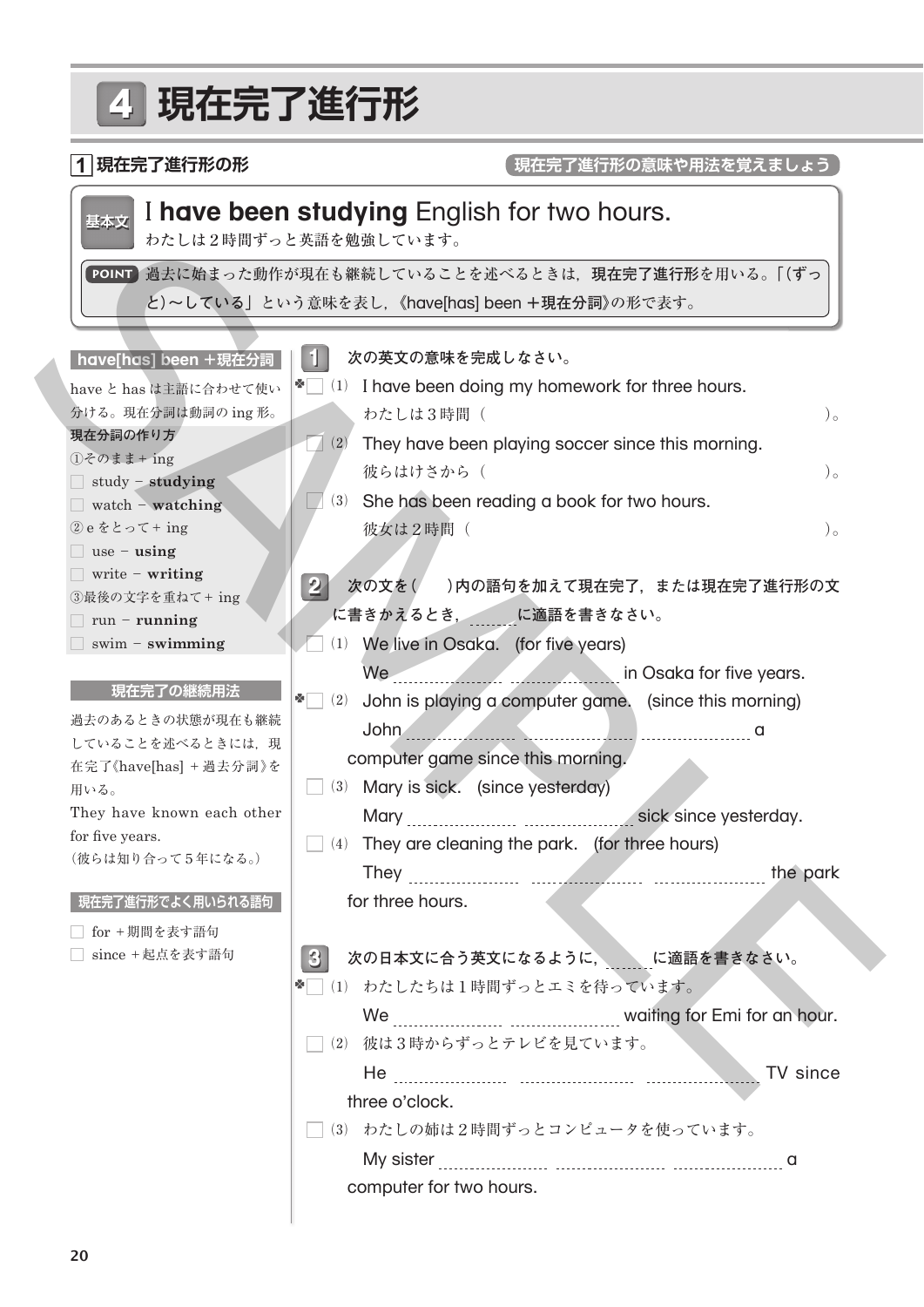## 4 **現在完了進行形 1 現在完了進行形の形 1 2 次の文を( )内の語句を加えて現在完了,または現在完了進行形の文 3 次の日本文に合う英文になるように, に適語を書きなさい。** have と has は主語に合わせて使い 分ける。現在分詞は動詞の ing 形。 **現在分詞の作り方**  $①$ そのまま+ ing study - **studying** watch - **watching**  $(2)$ e をとって+ ing use - **using** write - **writing** ③最後の文字を重ねて+ ing run - **running** swim - **swimming have[has] been +現在分詞** 過去のあるときの状態が現在も継続 していることを述べるときには、現 在完了《have[has] +過去分詞》を 用いる。 They have known each other for five years. (彼らは知り合って5年になる。) **現在完了の継続用法** □ for +期間を表す語句 □ since +起点を表す語句 **現在完了進行形でよく用いられる語句 現在完了進行形の意味や用法を覚えましょう 次の英文の意味を完成しなさい。**  $\blacksquare$  (1) I have been doing my homework for three hours. わたしは3時間 ( )。  $\Box$  (2) They have been playing soccer since this morning. 彼らはけさから ( )。  $\Box$  (3) She has been reading a book for two hours.  $\mathcal{R}$ 女は2時間 ( )。 **に書きかえるとき, に適語を書きなさい。**  $\Box$  (1) We live in Osaka. (for five years) We **We are all the set of the set of the set of the vears.** In Osaka for five years.  $\leq$  2) John is playing a computer game. (since this morning) John a computer game since this morning. ⑶ Mary is sick. (since yesterday) Mary sick since yesterday.  $\Box$  (4) They are cleaning the park. (for three hours) They the park for three hours. ※□ (1) わたしたちは1時間ずっとエミを待っています。 We **WE ACCLUBE THE WAITING WAITING OF EMI for an hour.** □ (2) 彼は3時からずっとテレビを見ています。 He **TV** since three o'clock. □(3) わたしの姉は2時間ずっとコンピュータを使っています。 My sister a computer for two hours. **基本文** I **have been studying** English for two hours. わたしは2時間ずっと英語を勉強しています。 **POINT** 過去に始まった動作が現在も継続していることを述べるときは,**現在完了進行形**を用いる。**「(ずっ**  $\begin{tabular}{|c|c|} \hline & $h^1h^1L^1L^1L^2\Psi\overline{\Psi}^2\overline{\Psi}^2\overline{\Psi}^2\overline{\Psi}^2\overline{\Psi}^2\overline{\Psi}^2\overline{\Psi}^2\overline{\Psi}^2\overline{\Psi}^2\overline{\Psi}^2\overline{\Psi}^2\overline{\Psi}^2\overline{\Psi}^2\overline{\Psi}^2\overline{\Psi}^2\overline{\Psi}^2\overline{\Psi}^2\overline{\Psi}^2\overline{\Psi}^2\overline{\Psi}^2\overline{\Psi}^2\overline{\Psi}^2\overline{\Psi}^2\over$ **と)~している」**という意味を表し,**《**have[has] been **+現在分詞》**の形で表す。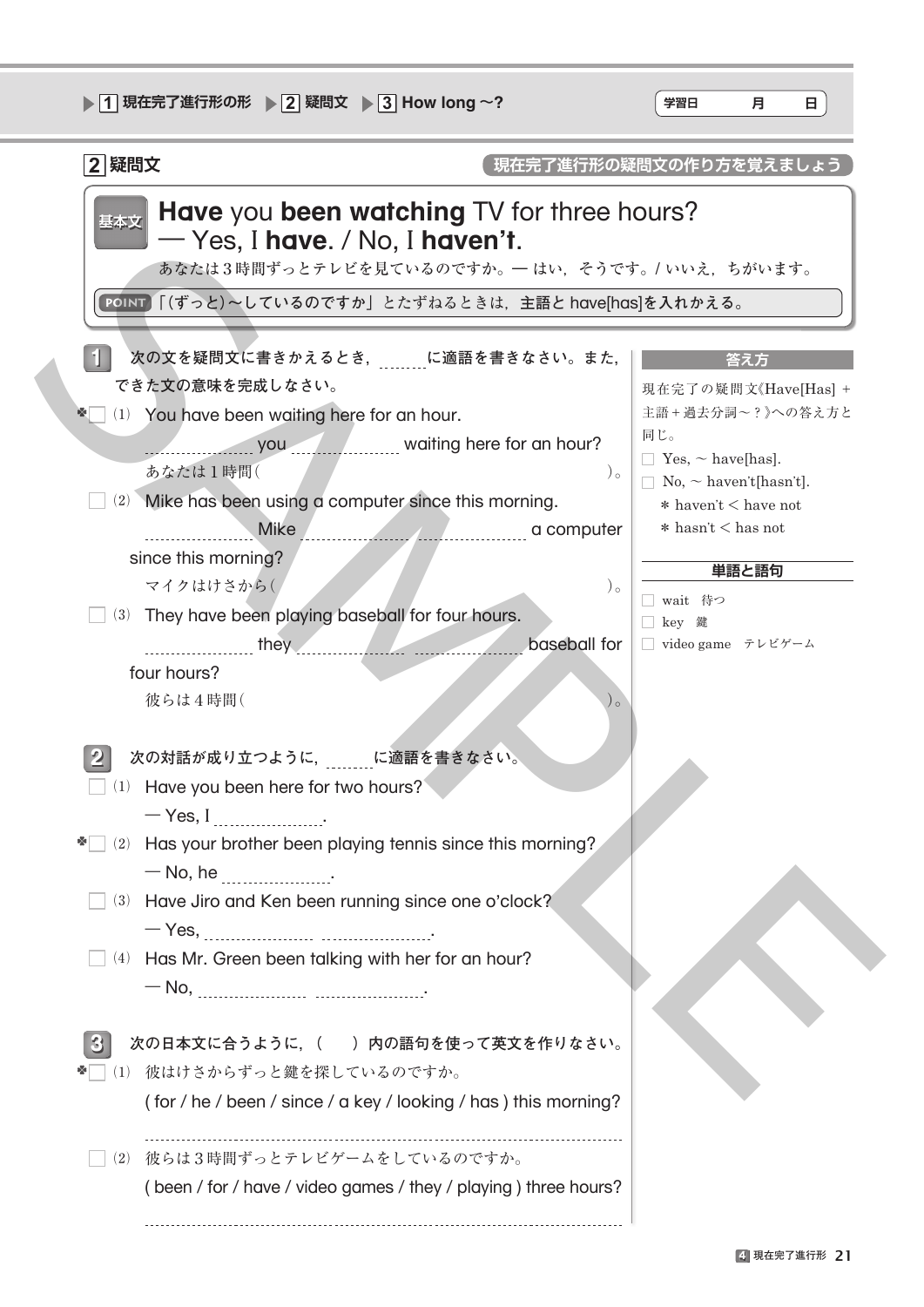| ▶ 1 現在完了進行形の形 → 2 疑問文 → 3 How long ~?                                                                                                                                                                                                                                                                                                                                 | 学習日<br>н<br>月                                                                                                                                                                                             |
|-----------------------------------------------------------------------------------------------------------------------------------------------------------------------------------------------------------------------------------------------------------------------------------------------------------------------------------------------------------------------|-----------------------------------------------------------------------------------------------------------------------------------------------------------------------------------------------------------|
| 2 疑問文                                                                                                                                                                                                                                                                                                                                                                 | 現在完了進行形の疑問文の作り方を覚えましょう                                                                                                                                                                                    |
| <b>Have</b> you been watching TV for three hours?<br>基本文<br>$-$ Yes, I have. / No, I haven't.<br>あなたは3時間ずっとテレビを見ているのですか。– はい、そうです。/ いいえ、ちがいます。<br>POINT 「(ずっと)~しているのですか」とたずねるときは、主語と have[has]を入れかえる。                                                                                                                                                                 |                                                                                                                                                                                                           |
| 次の文を疑問文に書きかえるとき、 に適語を書きなさい。また,<br>できた文の意味を完成しなさい。<br>* (1) You have been waiting here for an hour.<br>you vaiting here for an hour?<br>あなたは1時間(<br>$)$ $\circ$<br>(2) Mike has been using a computer since this morning.<br>since this morning?<br>マイクはけさから(<br>$)$ $\circ$<br>(3) They have been playing baseball for four hours.                                    | 答え方<br>現在完了の疑問文《Have[Has] +<br>主語+過去分詞~?》への答え方と<br>同じ。<br>$\Box$ Yes, $\sim$ have[has].<br>$\Box$ No, $\sim$ haven't[hasn't].<br>$*$ haven't $<$ have not<br>$*$ hasn't $<$ has not<br>単語と語句<br>□ wait 待つ |
| they <b>they contract they baseball</b> for<br>four hours?<br>彼らは4時間(<br>次の対話が成り立つように、 に適語を書きなさい。<br>$\Box$ (1) Have you been here for two hours?<br>$-$ Yes, I<br>$\Box$ (2) Has your brother been playing tennis since this morning?<br>$-$ No, he<br>(3) Have Jiro and Ken been running since one o'clock?<br>(4) Has Mr. Green been talking with her for an hour? | □ key 鍵<br>□ video game テレビゲーム                                                                                                                                                                            |
| 次の日本文に合うように, ( ) 内の語句を使って英文を作りなさい。<br>$\bf{3}$<br>彼はけさからずっと鍵を探しているのですか。<br>(1)<br>(for / he / been / since / a key / looking / has) this morning?<br>(2) 彼らは3時間ずっとテレビゲームをしているのですか。<br>(been / for / have / video games / they / playing ) three hours?                                                                                                                |                                                                                                                                                                                                           |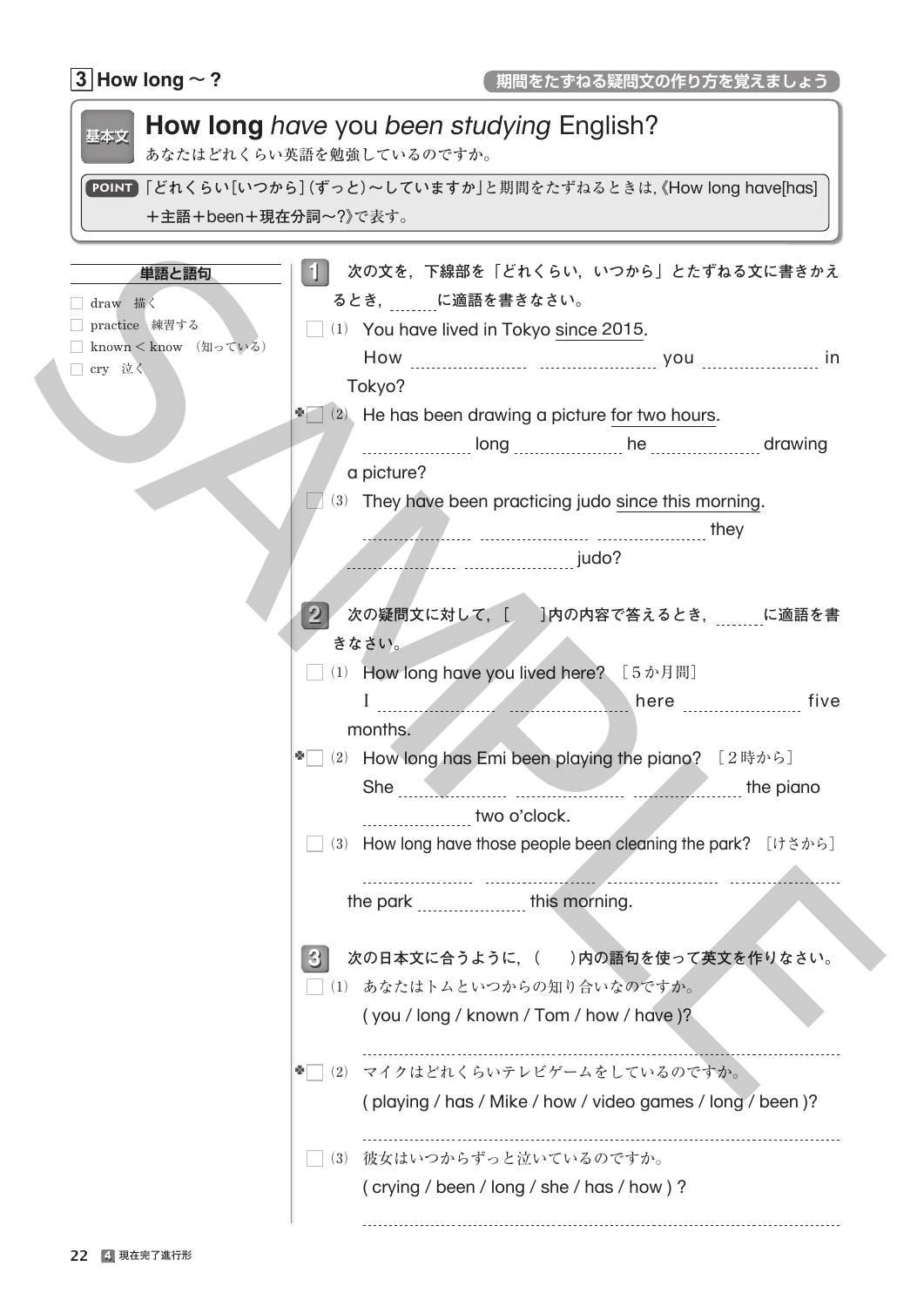## $\boxed{3}$  How long  $\sim$  ?

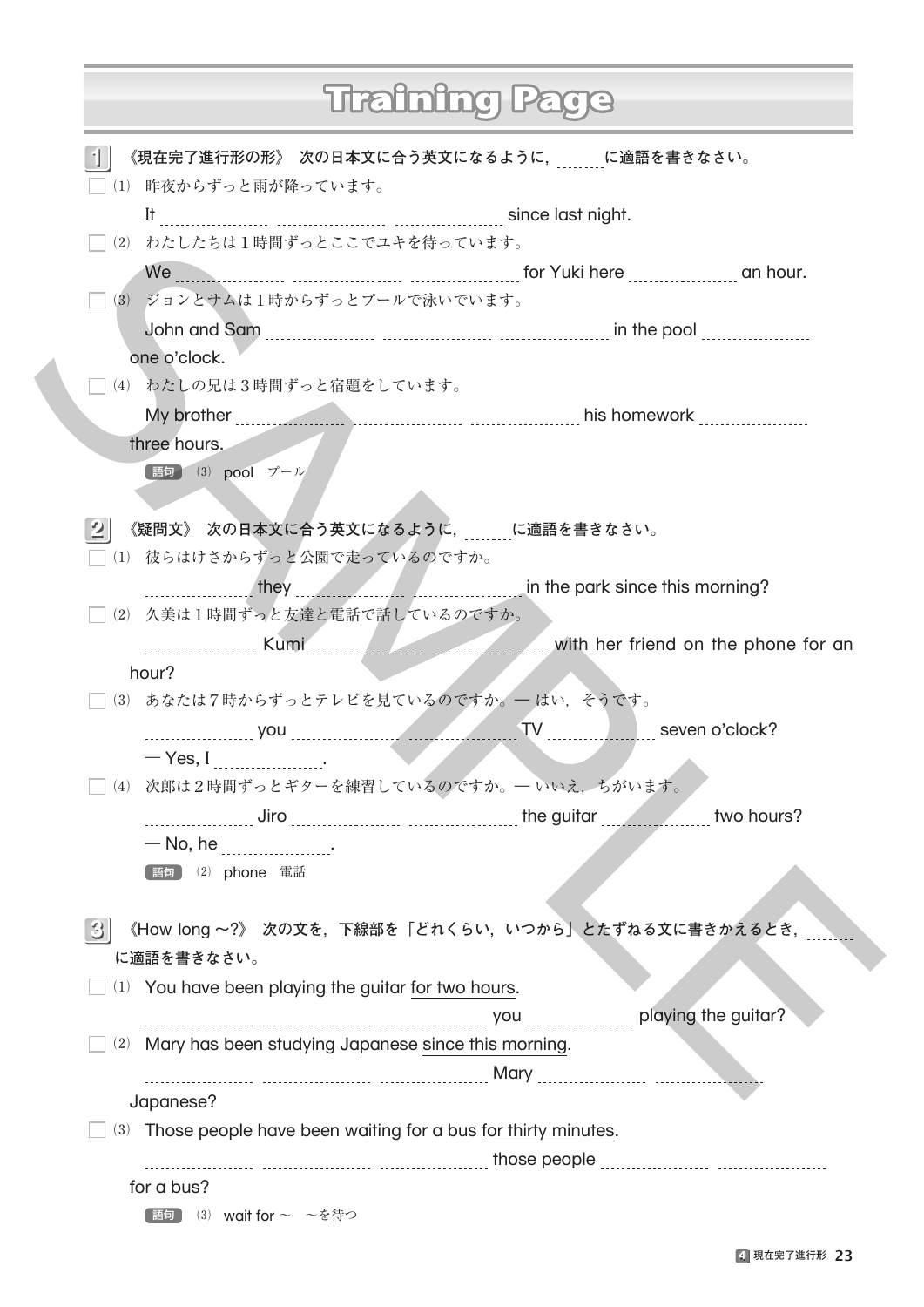|                |                                                                                                                                                                                                                                          | Training |  |
|----------------|------------------------------------------------------------------------------------------------------------------------------------------------------------------------------------------------------------------------------------------|----------|--|
|                | 《現在完了進行形の形》 次の日本文に合う英文になるように, に適語を書きなさい。<br>(1) 昨夜からずっと雨が降っています。                                                                                                                                                                         |          |  |
|                |                                                                                                                                                                                                                                          |          |  |
|                | (2) わたしたちは1時間ずっとここでユキを待っています。                                                                                                                                                                                                            |          |  |
|                | We <u>with the substitute of the set of the substitute of the substitute of the substitute of the substitute of the substitute of the substitute of the substitute of the substitute of the substitute of the substitute of the </u>     |          |  |
|                | □(3) ジョンとサムは1時からずっとプールで泳いでいます。                                                                                                                                                                                                           |          |  |
|                | John and Sam [[11] John and Sam [11] John and Sam [11] John and Sam [11] John and Sam [11] John and Sam [11] J                                                                                                                           |          |  |
|                | one o'clock.                                                                                                                                                                                                                             |          |  |
|                | (4) わたしの兄は3時間ずっと宿題をしています。                                                                                                                                                                                                                |          |  |
|                | My brother <b>Music Community of Community</b> Community and the home work <b>Community</b> Community of the Music Community of the Music Community of the Music Community of the Music Community of the Music Community of the Music Co |          |  |
|                | three hours.                                                                                                                                                                                                                             |          |  |
|                | 【語句】 (3) pool プール                                                                                                                                                                                                                        |          |  |
|                |                                                                                                                                                                                                                                          |          |  |
| $\overline{2}$ | 《疑問文》 次の日本文に合う英文になるように, 「に適語を書きなさい。                                                                                                                                                                                                      |          |  |
|                | □(1) 彼らはけさからずっと公園で走っているのですか。                                                                                                                                                                                                             |          |  |
|                | they they the since this morning?                                                                                                                                                                                                        |          |  |
|                | (2) 久美は1時間ずっと友達と電話で話しているのですか。                                                                                                                                                                                                            |          |  |
|                | Later with her friend on the phone for an                                                                                                                                                                                                |          |  |
|                | hour?                                                                                                                                                                                                                                    |          |  |
|                | (3) あなたは7時からずっとテレビを見ているのですか。––はい、そうです。                                                                                                                                                                                                   |          |  |
|                |                                                                                                                                                                                                                                          |          |  |
|                | $-$ Yes, I                                                                                                                                                                                                                               |          |  |
|                | (4) 次郎は2時間ずっとギターを練習しているのですか。––いいえ、ちがいます。                                                                                                                                                                                                 |          |  |
|                | Liro discussion of the guitar two hours?                                                                                                                                                                                                 |          |  |
|                | $-$ No, he $\ldots$                                                                                                                                                                                                                      |          |  |
|                | (2) phone 電話<br>[語句 ]                                                                                                                                                                                                                    |          |  |
|                |                                                                                                                                                                                                                                          |          |  |
| $\mathbf{3}$   | 《How long ~?》 次の文を, 下線部を「どれくらい, いつから」とたずねる文に書きかえるとき,<br>に適語を書きなさい。                                                                                                                                                                       |          |  |
|                |                                                                                                                                                                                                                                          |          |  |
|                | (1) You have been playing the guitar for two hours.                                                                                                                                                                                      |          |  |
|                |                                                                                                                                                                                                                                          |          |  |
|                | (2) Mary has been studying Japanese since this morning.                                                                                                                                                                                  |          |  |
|                | Japanese?                                                                                                                                                                                                                                |          |  |
|                | (3) Those people have been waiting for a bus for thirty minutes.                                                                                                                                                                         |          |  |
|                |                                                                                                                                                                                                                                          |          |  |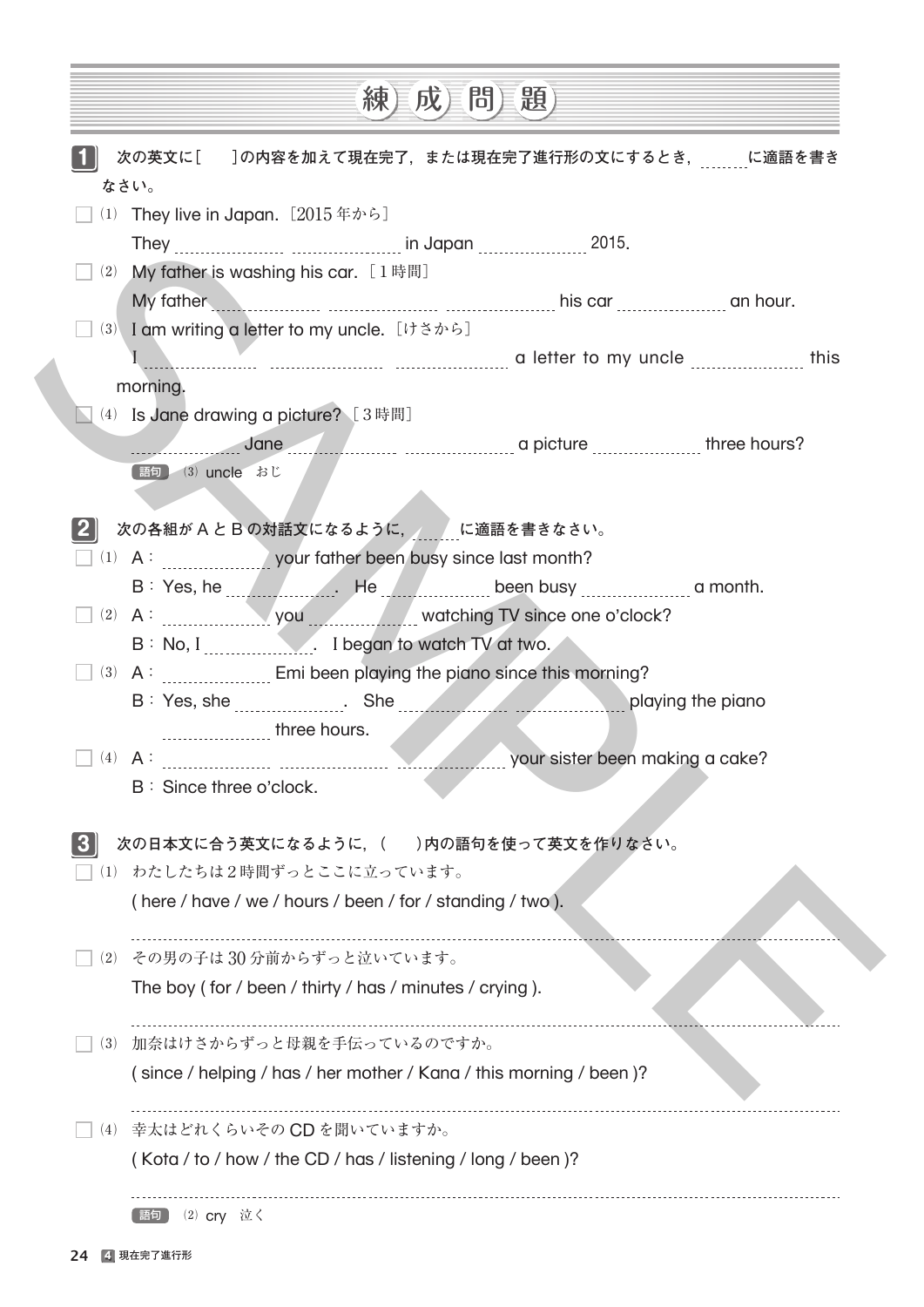| 次の英文に[]の内容を加えて現在完了、または現在完了進行形の文にするとき、 に適語を書き<br>なさい。<br>(1) They live in Japan. $[2015 \# \text{thinspace}]$<br>My father is washing his car. $[1 \nleftrightarrow \nparallel]$<br>(2)<br>My father and the case of the care and the care and the care and hour.<br>(3) I am writing a letter to my uncle. [けさから]<br>morning.<br>(4) Is Jane drawing a picture? [3時間]<br>Jane John Christmas a picture Communication of three hours?<br>【語句】 (3) uncle おじ<br>次の各組がAとBの対話文になるように、 に適語を書きなさい。<br>(1) A: your father been busy since last month?<br>B: Yes, he Manuel Alle Alle Alle Been busy measures a month.<br>(2) A: you you watching TV since one o'clock?<br>B: No, I ______________. I began to watch TV at two.<br>(3) A: Emi been playing the piano since this morning?<br>playing the piano<br>your sister been making a cake?<br>$\Box$ (4) $\Box$ :<br>B: Since three o'clock.<br>次の日本文に合う英文になるように, ( ___)内の語句を使って英文を作りなさい。<br>□(1) わたしたちは2時間ずっとここに立っています。<br>(here / have / we / hours / been / for / standing / two).<br>(2) その男の子は30分前からずっと泣いています。<br>The boy (for / been / thirty / has / minutes / crying).<br>加奈はけさからずっと母親を手伝っているのですか。<br>(3)<br>(since / helping / has / her mother / Kana / this morning / been)?<br>幸太はどれくらいその CD を聞いていますか。<br>(4)<br>(Kota / to / how / the CD / has / listening / long / been)? |  | 【成】<br>練 | 【問耳題】 |  |
|---------------------------------------------------------------------------------------------------------------------------------------------------------------------------------------------------------------------------------------------------------------------------------------------------------------------------------------------------------------------------------------------------------------------------------------------------------------------------------------------------------------------------------------------------------------------------------------------------------------------------------------------------------------------------------------------------------------------------------------------------------------------------------------------------------------------------------------------------------------------------------------------------------------------------------------------------------------------------------------------------------------------------------------------------------------------------------------------------------------------------------------------------------------------------------------------------------------------------------------------------------------------------------------------------------------------------------------|--|----------|-------|--|
|                                                                                                                                                                                                                                                                                                                                                                                                                                                                                                                                                                                                                                                                                                                                                                                                                                                                                                                                                                                                                                                                                                                                                                                                                                                                                                                                       |  |          |       |  |
|                                                                                                                                                                                                                                                                                                                                                                                                                                                                                                                                                                                                                                                                                                                                                                                                                                                                                                                                                                                                                                                                                                                                                                                                                                                                                                                                       |  |          |       |  |
|                                                                                                                                                                                                                                                                                                                                                                                                                                                                                                                                                                                                                                                                                                                                                                                                                                                                                                                                                                                                                                                                                                                                                                                                                                                                                                                                       |  |          |       |  |
|                                                                                                                                                                                                                                                                                                                                                                                                                                                                                                                                                                                                                                                                                                                                                                                                                                                                                                                                                                                                                                                                                                                                                                                                                                                                                                                                       |  |          |       |  |
|                                                                                                                                                                                                                                                                                                                                                                                                                                                                                                                                                                                                                                                                                                                                                                                                                                                                                                                                                                                                                                                                                                                                                                                                                                                                                                                                       |  |          |       |  |
|                                                                                                                                                                                                                                                                                                                                                                                                                                                                                                                                                                                                                                                                                                                                                                                                                                                                                                                                                                                                                                                                                                                                                                                                                                                                                                                                       |  |          |       |  |
|                                                                                                                                                                                                                                                                                                                                                                                                                                                                                                                                                                                                                                                                                                                                                                                                                                                                                                                                                                                                                                                                                                                                                                                                                                                                                                                                       |  |          |       |  |
|                                                                                                                                                                                                                                                                                                                                                                                                                                                                                                                                                                                                                                                                                                                                                                                                                                                                                                                                                                                                                                                                                                                                                                                                                                                                                                                                       |  |          |       |  |
|                                                                                                                                                                                                                                                                                                                                                                                                                                                                                                                                                                                                                                                                                                                                                                                                                                                                                                                                                                                                                                                                                                                                                                                                                                                                                                                                       |  |          |       |  |
|                                                                                                                                                                                                                                                                                                                                                                                                                                                                                                                                                                                                                                                                                                                                                                                                                                                                                                                                                                                                                                                                                                                                                                                                                                                                                                                                       |  |          |       |  |
|                                                                                                                                                                                                                                                                                                                                                                                                                                                                                                                                                                                                                                                                                                                                                                                                                                                                                                                                                                                                                                                                                                                                                                                                                                                                                                                                       |  |          |       |  |
|                                                                                                                                                                                                                                                                                                                                                                                                                                                                                                                                                                                                                                                                                                                                                                                                                                                                                                                                                                                                                                                                                                                                                                                                                                                                                                                                       |  |          |       |  |
|                                                                                                                                                                                                                                                                                                                                                                                                                                                                                                                                                                                                                                                                                                                                                                                                                                                                                                                                                                                                                                                                                                                                                                                                                                                                                                                                       |  |          |       |  |
|                                                                                                                                                                                                                                                                                                                                                                                                                                                                                                                                                                                                                                                                                                                                                                                                                                                                                                                                                                                                                                                                                                                                                                                                                                                                                                                                       |  |          |       |  |
|                                                                                                                                                                                                                                                                                                                                                                                                                                                                                                                                                                                                                                                                                                                                                                                                                                                                                                                                                                                                                                                                                                                                                                                                                                                                                                                                       |  |          |       |  |
|                                                                                                                                                                                                                                                                                                                                                                                                                                                                                                                                                                                                                                                                                                                                                                                                                                                                                                                                                                                                                                                                                                                                                                                                                                                                                                                                       |  |          |       |  |
|                                                                                                                                                                                                                                                                                                                                                                                                                                                                                                                                                                                                                                                                                                                                                                                                                                                                                                                                                                                                                                                                                                                                                                                                                                                                                                                                       |  |          |       |  |
|                                                                                                                                                                                                                                                                                                                                                                                                                                                                                                                                                                                                                                                                                                                                                                                                                                                                                                                                                                                                                                                                                                                                                                                                                                                                                                                                       |  |          |       |  |
|                                                                                                                                                                                                                                                                                                                                                                                                                                                                                                                                                                                                                                                                                                                                                                                                                                                                                                                                                                                                                                                                                                                                                                                                                                                                                                                                       |  |          |       |  |
|                                                                                                                                                                                                                                                                                                                                                                                                                                                                                                                                                                                                                                                                                                                                                                                                                                                                                                                                                                                                                                                                                                                                                                                                                                                                                                                                       |  |          |       |  |
|                                                                                                                                                                                                                                                                                                                                                                                                                                                                                                                                                                                                                                                                                                                                                                                                                                                                                                                                                                                                                                                                                                                                                                                                                                                                                                                                       |  |          |       |  |
|                                                                                                                                                                                                                                                                                                                                                                                                                                                                                                                                                                                                                                                                                                                                                                                                                                                                                                                                                                                                                                                                                                                                                                                                                                                                                                                                       |  |          |       |  |
|                                                                                                                                                                                                                                                                                                                                                                                                                                                                                                                                                                                                                                                                                                                                                                                                                                                                                                                                                                                                                                                                                                                                                                                                                                                                                                                                       |  |          |       |  |
|                                                                                                                                                                                                                                                                                                                                                                                                                                                                                                                                                                                                                                                                                                                                                                                                                                                                                                                                                                                                                                                                                                                                                                                                                                                                                                                                       |  |          |       |  |
|                                                                                                                                                                                                                                                                                                                                                                                                                                                                                                                                                                                                                                                                                                                                                                                                                                                                                                                                                                                                                                                                                                                                                                                                                                                                                                                                       |  |          |       |  |
|                                                                                                                                                                                                                                                                                                                                                                                                                                                                                                                                                                                                                                                                                                                                                                                                                                                                                                                                                                                                                                                                                                                                                                                                                                                                                                                                       |  |          |       |  |
|                                                                                                                                                                                                                                                                                                                                                                                                                                                                                                                                                                                                                                                                                                                                                                                                                                                                                                                                                                                                                                                                                                                                                                                                                                                                                                                                       |  |          |       |  |
|                                                                                                                                                                                                                                                                                                                                                                                                                                                                                                                                                                                                                                                                                                                                                                                                                                                                                                                                                                                                                                                                                                                                                                                                                                                                                                                                       |  |          |       |  |
|                                                                                                                                                                                                                                                                                                                                                                                                                                                                                                                                                                                                                                                                                                                                                                                                                                                                                                                                                                                                                                                                                                                                                                                                                                                                                                                                       |  |          |       |  |
|                                                                                                                                                                                                                                                                                                                                                                                                                                                                                                                                                                                                                                                                                                                                                                                                                                                                                                                                                                                                                                                                                                                                                                                                                                                                                                                                       |  |          |       |  |
|                                                                                                                                                                                                                                                                                                                                                                                                                                                                                                                                                                                                                                                                                                                                                                                                                                                                                                                                                                                                                                                                                                                                                                                                                                                                                                                                       |  |          |       |  |
|                                                                                                                                                                                                                                                                                                                                                                                                                                                                                                                                                                                                                                                                                                                                                                                                                                                                                                                                                                                                                                                                                                                                                                                                                                                                                                                                       |  |          |       |  |
|                                                                                                                                                                                                                                                                                                                                                                                                                                                                                                                                                                                                                                                                                                                                                                                                                                                                                                                                                                                                                                                                                                                                                                                                                                                                                                                                       |  |          |       |  |
|                                                                                                                                                                                                                                                                                                                                                                                                                                                                                                                                                                                                                                                                                                                                                                                                                                                                                                                                                                                                                                                                                                                                                                                                                                                                                                                                       |  |          |       |  |